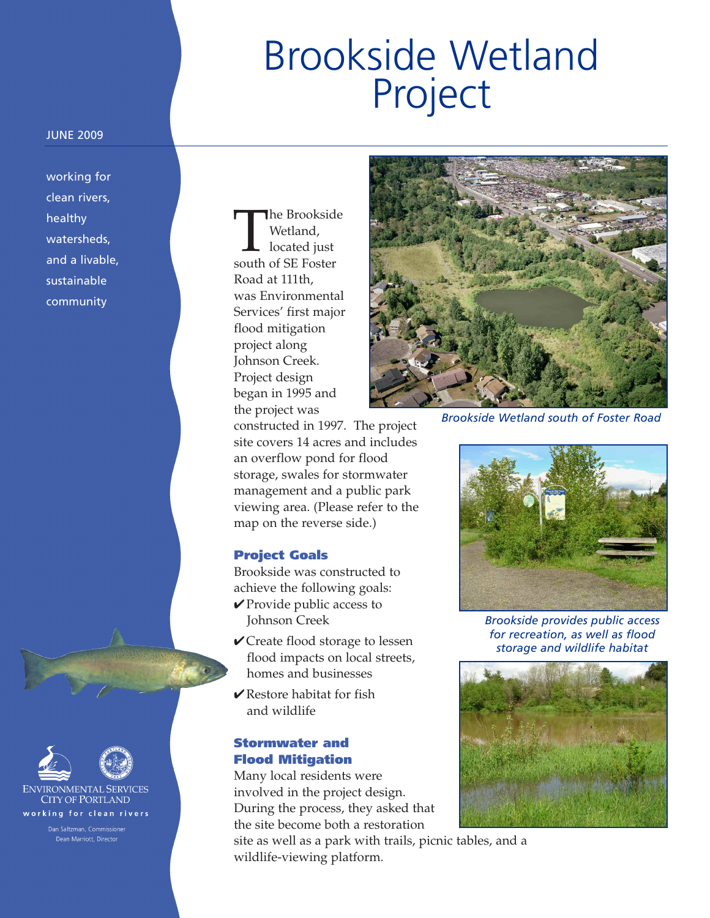# Brookside Wetland Project

#### JUNE 2009

working for clean rivers, healthy watersheds, and a livable, sustainable community

**ENVIRONMENTAL SERVICES CITY OF PORTLAND** working for clean rivers

Dean Marriott, Director

The Brookside<br>
Wetland,<br>
located just<br>
south of SE Foster Wetland, located just Road at 111th, was Environmental Services' first major flood mitigation project along Johnson Creek. Project design began in 1995 and the project was

constructed in 1997. The project site covers 14 acres and includes an overflow pond for flood storage, swales for stormwater management and a public park viewing area. (Please refer to the map on the reverse side.)

## **Project Goals**

Brookside was constructed to achieve the following goals: **✔**Provide public access to Johnson Creek

- **✔**Create flood storage to lessen flood impacts on local streets, homes and businesses
- **✔**Restore habitat for fish and wildlife

## **Stormwater and Flood Mitigation**

Many local residents were involved in the project design. During the process, they asked that the site become both a restoration

site as well as a park with trails, picnic tables, and a wildlife-viewing platform.



*Brookside Wetland south of Foster Road*



*Brookside provides public access for recreation, as well as flood storage and wildlife habitat*